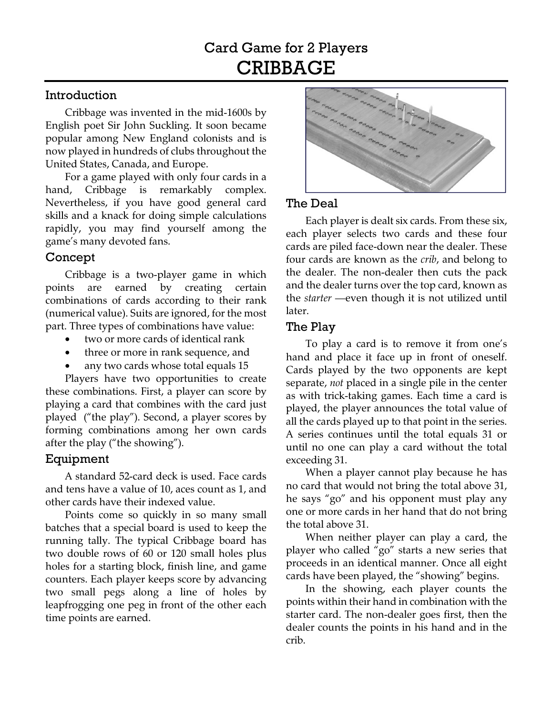#### Introduction

Cribbage was invented in the mid-1600s by English poet Sir John Suckling. It soon became popular among New England colonists and is now played in hundreds of clubs throughout the United States, Canada, and Europe.

For a game played with only four cards in a hand, Cribbage is remarkably complex. Nevertheless, if you have good general card skills and a knack for doing simple calculations rapidly, you may find yourself among the game's many devoted fans.

## Concept

Cribbage is a two-player game in which points are earned by creating certain combinations of cards according to their rank (numerical value). Suits are ignored, for the most part. Three types of combinations have value:

- two or more cards of identical rank
- three or more in rank sequence, and
- any two cards whose total equals 15

Players have two opportunities to create these combinations. First, a player can score by playing a card that combines with the card just played ("the play"). Second, a player scores by forming combinations among her own cards after the play ("the showing").

## Equipment

A standard 52-card deck is used. Face cards and tens have a value of 10, aces count as 1, and other cards have their indexed value.

Points come so quickly in so many small batches that a special board is used to keep the running tally. The typical Cribbage board has two double rows of 60 or 120 small holes plus holes for a starting block, finish line, and game counters. Each player keeps score by advancing two small pegs along a line of holes by leapfrogging one peg in front of the other each time points are earned.



## The Deal

Each player is dealt six cards. From these six, each player selects two cards and these four cards are piled face-down near the dealer. These four cards are known as the *crib*, and belong to the dealer. The non-dealer then cuts the pack and the dealer turns over the top card, known as the *starter* —even though it is not utilized until later.

#### The Play

To play a card is to remove it from one's hand and place it face up in front of oneself. Cards played by the two opponents are kept separate, *not* placed in a single pile in the center as with trick-taking games. Each time a card is played, the player announces the total value of all the cards played up to that point in the series. A series continues until the total equals 31 or until no one can play a card without the total exceeding 31.

When a player cannot play because he has no card that would not bring the total above 31, he says "go" and his opponent must play any one or more cards in her hand that do not bring the total above 31.

When neither player can play a card, the player who called "go" starts a new series that proceeds in an identical manner. Once all eight cards have been played, the "showing" begins.

In the showing, each player counts the points within their hand in combination with the starter card. The non-dealer goes first, then the dealer counts the points in his hand and in the crib.